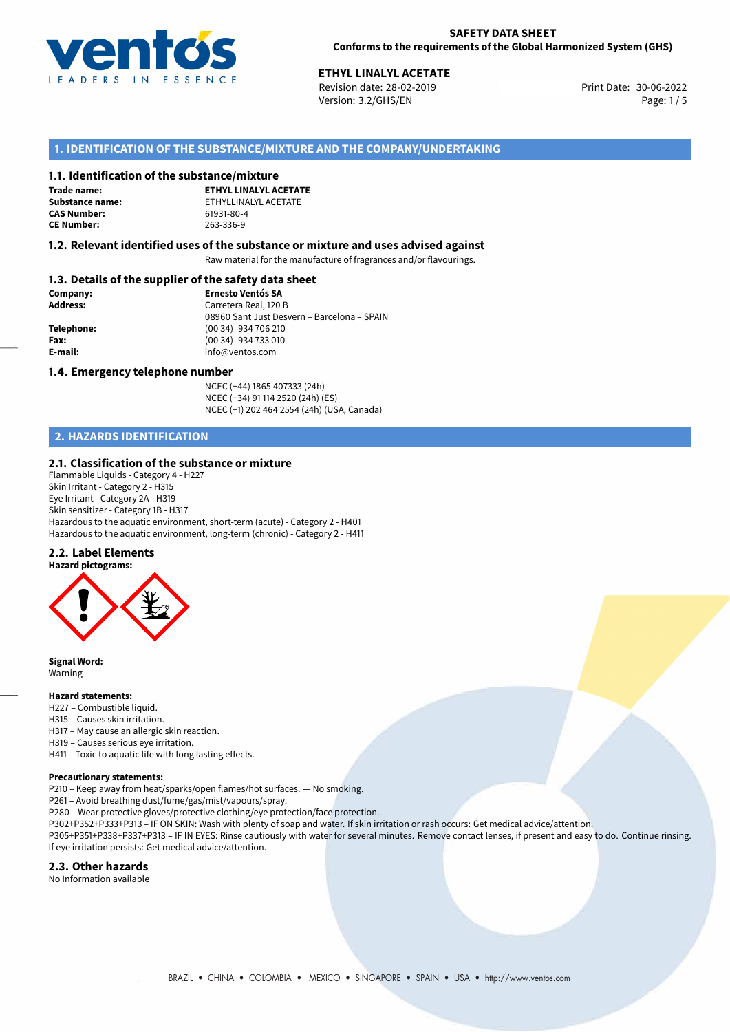

30-06-2022 **ETHYL LINALYL ACETATE** Revision date: 28-02-2019 Print Date: Version: 3.2/GHS/EN Page: 1/5

# **1. IDENTIFICATION OF THE SUBSTANCE/MIXTURE AND THE COMPANY/UNDERTAKING**

## **1.1. Identification of the substance/mixture**

**Trade name: CAS Number: CE Number:** 263-336-9

**ETHYL LINALYL ACETATE Substance name:** ETHYLLINALYL ACETATE<br> **CAS Number:** 61931-80-4

## **1.2. Relevant identified uses of the substance or mixture and uses advised against**

Raw material for the manufacture of fragrances and/or flavourings.

# **1.3. Details of the supplier of the safety data sheet**

| Company:        | <b>Ernesto Ventós SA</b>                    |
|-----------------|---------------------------------------------|
| <b>Address:</b> | Carretera Real, 120 B                       |
|                 | 08960 Sant Just Desvern - Barcelona - SPAIN |
| Telephone:      | $(0034)$ 934 706 210                        |
| Fax:            | (00 34) 934 733 010                         |
| E-mail:         | info@ventos.com                             |
|                 |                                             |

## **1.4. Emergency telephone number**

NCEC (+44) 1865 407333 (24h) NCEC (+34) 91 114 2520 (24h) (ES) NCEC (+1) 202 464 2554 (24h) (USA, Canada)

# **2. HAZARDS IDENTIFICATION**

# **2.1. Classification of the substance or mixture**

Flammable Liquids - Category 4 - H227 Skin Irritant - Category 2 - H315 Eye Irritant - Category 2A - H319 Skin sensitizer - Category 1B - H317 Hazardous to the aquatic environment, short-term (acute) - Category 2 - H401 Hazardous to the aquatic environment, long-term (chronic) - Category 2 - H411

#### **2.2. Label Elements**



**Signal Word:** Warning

### **Hazard statements:**

- H227 Combustible liquid.
- H315 Causes skin irritation.
- H317 May cause an allergic skin reaction.
- H319 Causes serious eye irritation.

H411 – Toxic to aquatic life with long lasting effects.

#### **Precautionary statements:**

P210 – Keep away from heat/sparks/open flames/hot surfaces. — No smoking.

P261 – Avoid breathing dust/fume/gas/mist/vapours/spray.

- P280 Wear protective gloves/protective clothing/eye protection/face protection.
- P302+P352+P333+P313 IF ON SKIN: Wash with plenty of soap and water. If skin irritation or rash occurs: Get medical advice/attention.

P305+P351+P338+P337+P313 – IF IN EYES: Rinse cautiously with water for several minutes. Remove contact lenses, if present and easy to do. Continue rinsing. If eye irritation persists: Get medical advice/attention.

## **2.3. Other hazards**

No Information available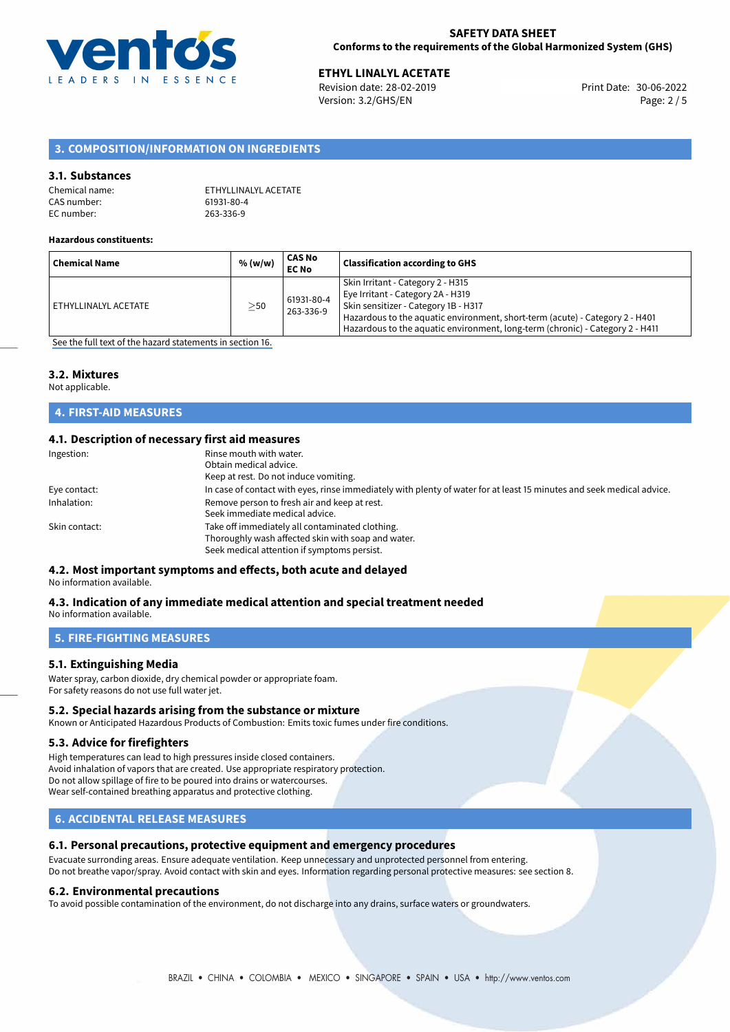

**ETHYL LINALYL ACETATE**<br>
Revision date: 28-02-2019 **Print Date: 30-06-2022** Version: 3.2/GHS/EN Page: 2 / 5

# **3. COMPOSITION/INFORMATION ON INGREDIENTS**

## **3.1. Substances**

| Chemical name: | ETHYLLINALYL ACETATE |
|----------------|----------------------|
| CAS number:    | 61931-80-4           |
| EC number:     | 263-336-9            |

#### **Hazardous constituents:**

| <b>Chemical Name</b> | % (w/w) | CAS No<br><b>EC No</b>  | <b>Classification according to GHS</b>                                                                                                                                                                                                                                          |
|----------------------|---------|-------------------------|---------------------------------------------------------------------------------------------------------------------------------------------------------------------------------------------------------------------------------------------------------------------------------|
| ETHYLLINALYL ACETATE | $>$ 50  | 61931-80-4<br>263-336-9 | Skin Irritant - Category 2 - H315<br>Eye Irritant - Category 2A - H319<br>Skin sensitizer - Category 1B - H317<br>Hazardous to the aquatic environment, short-term (acute) - Category 2 - H401<br>Hazardous to the aquatic environment, long-term (chronic) - Category 2 - H411 |

[See the full text of the hazard statements in section 16.](#page-4-0)

## **3.2. Mixtures**

Not applicable.

# **4. FIRST-AID MEASURES**

## **4.1. Description of necessary first aid measures**

| Ingestion:    | Rinse mouth with water.<br>Obtain medical advice.                                                                     |
|---------------|-----------------------------------------------------------------------------------------------------------------------|
|               |                                                                                                                       |
|               | Keep at rest. Do not induce vomiting.                                                                                 |
| Eye contact:  | In case of contact with eyes, rinse immediately with plenty of water for at least 15 minutes and seek medical advice. |
| Inhalation:   | Remove person to fresh air and keep at rest.                                                                          |
|               | Seek immediate medical advice.                                                                                        |
| Skin contact: | Take off immediately all contaminated clothing.                                                                       |
|               | Thoroughly wash affected skin with soap and water.                                                                    |
|               | Seek medical attention if symptoms persist.                                                                           |

# **4.2. Most important symptoms and effects, both acute and delayed**

No information available.

#### **4.3. Indication of any immediate medical attention and special treatment needed** No information available.

**5. FIRE-FIGHTING MEASURES**

# **5.1. Extinguishing Media**

Water spray, carbon dioxide, dry chemical powder or appropriate foam. For safety reasons do not use full water jet.

## **5.2. Special hazards arising from the substance or mixture**

Known or Anticipated Hazardous Products of Combustion: Emits toxic fumes under fire conditions.

### **5.3. Advice for firefighters**

High temperatures can lead to high pressures inside closed containers. Avoid inhalation of vapors that are created. Use appropriate respiratory protection. Do not allow spillage of fire to be poured into drains or watercourses. Wear self-contained breathing apparatus and protective clothing.

# **6. ACCIDENTAL RELEASE MEASURES**

#### **6.1. Personal precautions, protective equipment and emergency procedures**

Evacuate surronding areas. Ensure adequate ventilation. Keep unnecessary and unprotected personnel from entering. Do not breathe vapor/spray. Avoid contact with skin and eyes. Information regarding personal protective measures: see section 8.

#### **6.2. Environmental precautions**

To avoid possible contamination of the environment, do not discharge into any drains, surface waters or groundwaters.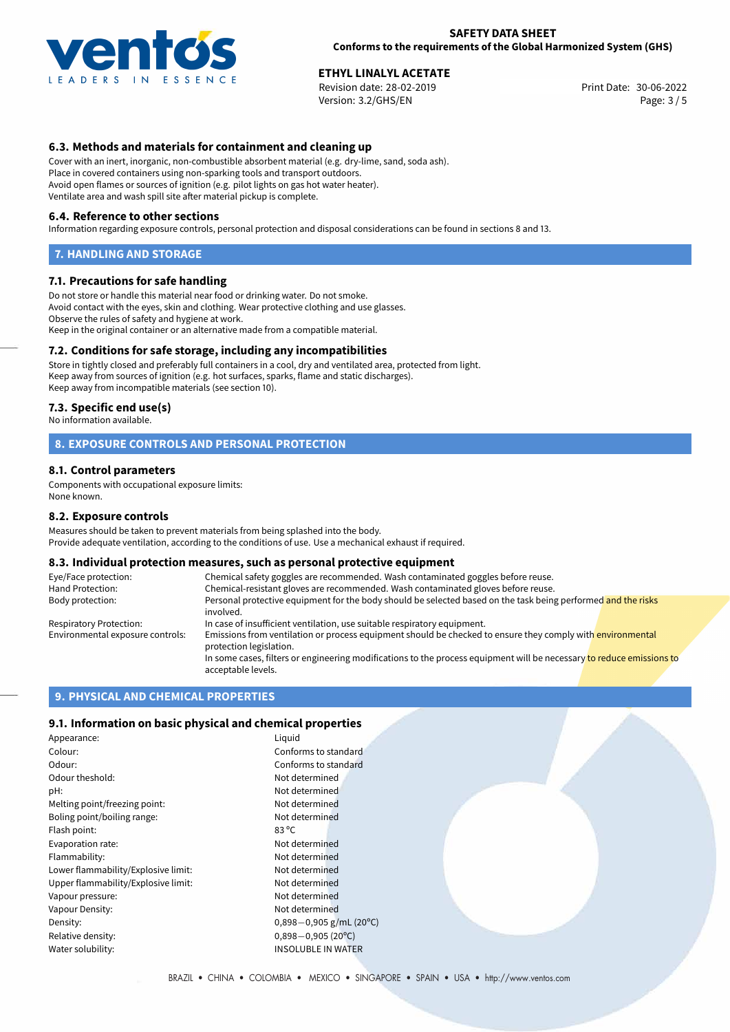

**ETHYL LINALYL ACETATE**<br>
Revision date: 28-02-2019 **Print Date: 30-06-2022** Version: 3.2/GHS/EN Page: 3 / 5

# **6.3. Methods and materials for containment and cleaning up**

Cover with an inert, inorganic, non-combustible absorbent material (e.g. dry-lime, sand, soda ash). Place in covered containers using non-sparking tools and transport outdoors. Avoid open flames or sources of ignition (e.g. pilot lights on gas hot water heater). Ventilate area and wash spill site after material pickup is complete.

#### **6.4. Reference to other sections**

Information regarding exposure controls, personal protection and disposal considerations can be found in sections 8 and 13.

### **7. HANDLING AND STORAGE**

## **7.1. Precautions for safe handling**

Do not store or handle this material near food or drinking water. Do not smoke. Avoid contact with the eyes, skin and clothing. Wear protective clothing and use glasses. Observe the rules of safety and hygiene at work. Keep in the original container or an alternative made from a compatible material.

# **7.2. Conditions for safe storage, including any incompatibilities**

Store in tightly closed and preferably full containers in a cool, dry and ventilated area, protected from light. Keep away from sources of ignition (e.g. hot surfaces, sparks, flame and static discharges). Keep away from incompatible materials (see section 10).

## **7.3. Specific end use(s)**

No information available.

# **8. EXPOSURE CONTROLS AND PERSONAL PROTECTION**

#### **8.1. Control parameters**

Components with occupational exposure limits: None known.

#### **8.2. Exposure controls**

Measures should be taken to prevent materials from being splashed into the body. Provide adequate ventilation, according to the conditions of use. Use a mechanical exhaust if required.

#### **8.3. Individual protection measures, such as personal protective equipment**

| Eye/Face protection:             | Chemical safety goggles are recommended. Wash contaminated goggles before reuse.                                                            |  |  |
|----------------------------------|---------------------------------------------------------------------------------------------------------------------------------------------|--|--|
| Hand Protection:                 | Chemical-resistant gloves are recommended. Wash contaminated gloves before reuse.                                                           |  |  |
| Body protection:                 | Personal protective equipment for the body should be selected based on the task being performed and the risks<br>involved.                  |  |  |
| Respiratory Protection:          | In case of insufficient ventilation, use suitable respiratory equipment.                                                                    |  |  |
| Environmental exposure controls: | Emissions from ventilation or process equipment should be checked to ensure they comply with environmental<br>protection legislation.       |  |  |
|                                  | In some cases, filters or engineering modifications to the process equipment will be necessary to reduce emissions to<br>acceptable levels. |  |  |

# **9. PHYSICAL AND CHEMICAL PROPERTIES**

# **9.1. Information on basic physical and chemical properties**

| Appearance:                         | Liquid                       |
|-------------------------------------|------------------------------|
| Colour:                             | Conforms to standard         |
| Odour:                              | Conforms to standard         |
| Odour theshold:                     | Not determined               |
| pH:                                 | Not determined               |
| Melting point/freezing point:       | Not determined               |
| Boling point/boiling range:         | Not determined               |
| Flash point:                        | $83^{\circ}$ C               |
| Evaporation rate:                   | Not determined               |
| Flammability:                       | Not determined               |
| Lower flammability/Explosive limit: | Not determined               |
| Upper flammability/Explosive limit: | Not determined               |
| Vapour pressure:                    | Not determined               |
| Vapour Density:                     | Not determined               |
| Density:                            | $0,898-0,905$ g/mL (20°C)    |
| Relative density:                   | $0,898 - 0,905(20^{\circ}C)$ |
| Water solubility:                   | <b>INSOLUBLE IN WATER</b>    |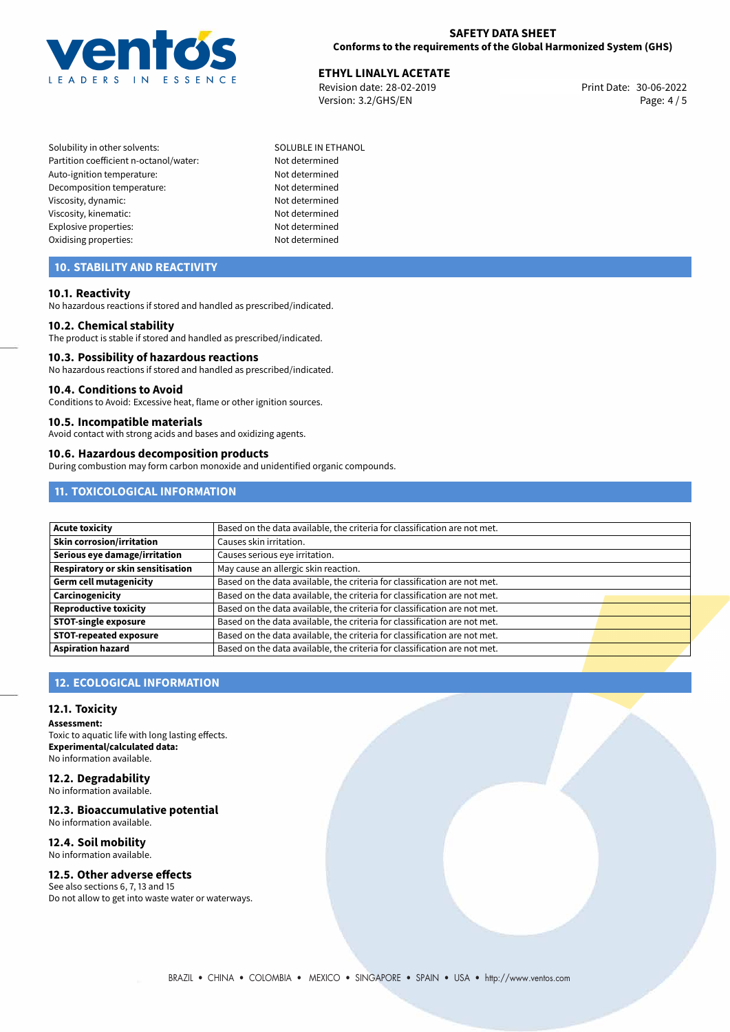

**ETHYL LINALYL ACETATE**<br>
Revision date: 28-02-2019 **Print Date: 30-06-2022** Version: 3.2/GHS/EN Page: 4 / 5

- Solubility in other solvents: SOLUBLE IN ETHANOL Partition coefficient n-octanol/water: Not determined Auto-ignition temperature: Not determined Decomposition temperature: Not determined Viscosity, dynamic: Not determined Viscosity, kinematic: Not determined Explosive properties: Not determined Oxidising properties: Not determined
	-

# **10. STABILITY AND REACTIVITY**

# **10.1. Reactivity**

No hazardous reactions if stored and handled as prescribed/indicated.

## **10.2. Chemical stability**

The product is stable if stored and handled as prescribed/indicated.

### **10.3. Possibility of hazardous reactions**

No hazardous reactions if stored and handled as prescribed/indicated.

#### **10.4. Conditions to Avoid**

Conditions to Avoid: Excessive heat, flame or other ignition sources.

## **10.5. Incompatible materials**

Avoid contact with strong acids and bases and oxidizing agents.

#### **10.6. Hazardous decomposition products**

During combustion may form carbon monoxide and unidentified organic compounds.

# **11. TOXICOLOGICAL INFORMATION**

| <b>Acute toxicity</b>             | Based on the data available, the criteria for classification are not met. |  |
|-----------------------------------|---------------------------------------------------------------------------|--|
| Skin corrosion/irritation         | Causes skin irritation.                                                   |  |
| Serious eye damage/irritation     | Causes serious eye irritation.                                            |  |
| Respiratory or skin sensitisation | May cause an allergic skin reaction.                                      |  |
| Germ cell mutagenicity            | Based on the data available, the criteria for classification are not met. |  |
| Carcinogenicity                   | Based on the data available, the criteria for classification are not met. |  |
| <b>Reproductive toxicity</b>      | Based on the data available, the criteria for classification are not met. |  |
| <b>STOT-single exposure</b>       | Based on the data available, the criteria for classification are not met. |  |
| <b>STOT-repeated exposure</b>     | Based on the data available, the criteria for classification are not met. |  |
| <b>Aspiration hazard</b>          | Based on the data available, the criteria for classification are not met. |  |

# **12. ECOLOGICAL INFORMATION**

## **12.1. Toxicity**

**Assessment:** Toxic to aquatic life with long lasting effects. **Experimental/calculated data:** No information available.

#### **12.2. Degradability** No information available.

**12.3. Bioaccumulative potential**

No information available.

#### **12.4. Soil mobility** No information available.

# **12.5. Other adverse effects**

See also sections 6, 7, 13 and 15 Do not allow to get into waste water or waterways.